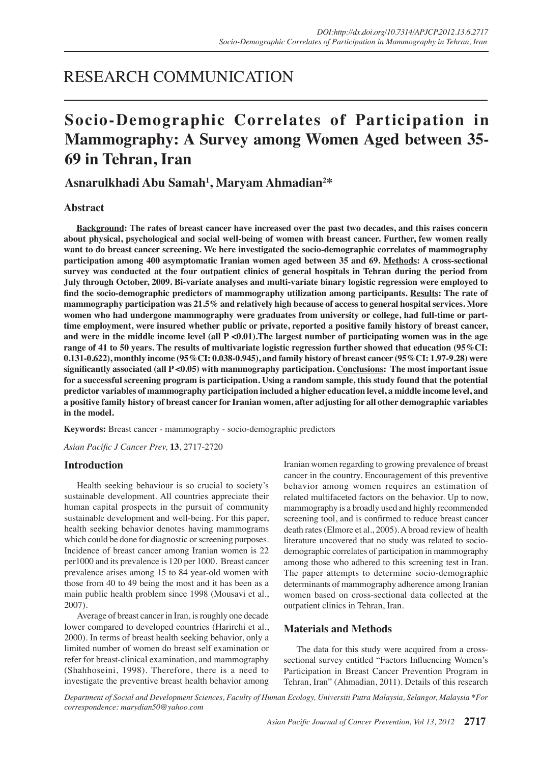## RESEARCH COMMUNICATION

# **Socio-Demographic Correlates of Participation in Mammography: A Survey among Women Aged between 35- 69 in Tehran, Iran**

## **Asnarulkhadi Abu Samah1 , Maryam Ahmadian2 \***

## **Abstract**

**Background: The rates of breast cancer have increased over the past two decades, and this raises concern about physical, psychological and social well-being of women with breast cancer. Further, few women really want to do breast cancer screening. We here investigated the socio-demographic correlates of mammography participation among 400 asymptomatic Iranian women aged between 35 and 69. Methods: A cross-sectional survey was conducted at the four outpatient clinics of general hospitals in Tehran during the period from July through October, 2009. Bi-variate analyses and multi-variate binary logistic regression were employed to find the socio-demographic predictors of mammography utilization among participants. Results: The rate of mammography participation was 21.5% and relatively high because of access to general hospital services. More women who had undergone mammography were graduates from university or college, had full-time or parttime employment, were insured whether public or private, reported a positive family history of breast cancer, and were in the middle income level (all P <0.01).The largest number of participating women was in the age range of 41 to 50 years. The results of multivariate logistic regression further showed that education (95%CI: 0.131-0.622), monthly income (95%CI: 0.038-0.945), and family history of breast cancer (95%CI: 1.97-9.28) were significantly associated (all P <0.05) with mammography participation. Conclusions: The most important issue for a successful screening program is participation. Using a random sample, this study found that the potential predictor variables of mammography participation included a higher education level, a middle income level, and a positive family history of breast cancer for Iranian women, after adjusting for all other demographic variables in the model.**

**Keywords:** Breast cancer - mammography - socio-demographic predictors

*Asian Pacific J Cancer Prev,* **13**, 2717-2720

## **Introduction**

Health seeking behaviour is so crucial to society's sustainable development. All countries appreciate their human capital prospects in the pursuit of community sustainable development and well-being. For this paper, health seeking behavior denotes having mammograms which could be done for diagnostic or screening purposes. Incidence of breast cancer among Iranian women is 22 per1000 and its prevalence is 120 per 1000. Breast cancer prevalence arises among 15 to 84 year-old women with those from 40 to 49 being the most and it has been as a main public health problem since 1998 (Mousavi et al., 2007).

Average of breast cancer in Iran, is roughly one decade lower compared to developed countries (Harirchi et al., 2000). In terms of breast health seeking behavior, only a limited number of women do breast self examination or refer for breast-clinical examination, and mammography (Shahhoseini, 1998). Therefore, there is a need to investigate the preventive breast health behavior among

Iranian women regarding to growing prevalence of breast cancer in the country. Encouragement of this preventive behavior among women requires an estimation of related multifaceted factors on the behavior. Up to now, mammography is a broadly used and highly recommended screening tool, and is confirmed to reduce breast cancer death rates (Elmore et al., 2005). A broad review of health literature uncovered that no study was related to sociodemographic correlates of participation in mammography among those who adhered to this screening test in Iran. The paper attempts to determine socio-demographic determinants of mammography adherence among Iranian women based on cross-sectional data collected at the outpatient clinics in Tehran, Iran.

## **Materials and Methods**

The data for this study were acquired from a crosssectional survey entitled "Factors Influencing Women's Participation in Breast Cancer Prevention Program in Tehran, Iran" (Ahmadian, 2011). Details of this research

*Department of Social and Development Sciences, Faculty of Human Ecology, Universiti Putra Malaysia, Selangor, Malaysia \*For correspondence: marydian50@yahoo.com*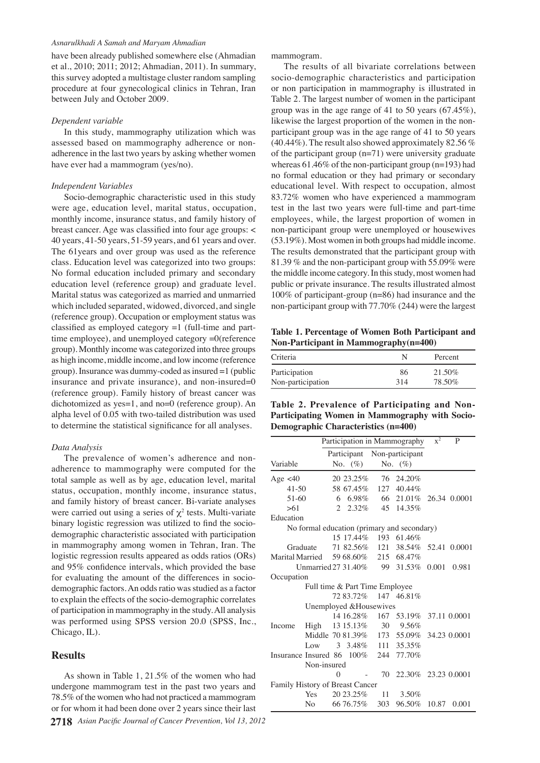#### *Asnarulkhadi A Samah and Maryam Ahmadian*

have been already published somewhere else (Ahmadian et al., 2010; 2011; 2012; Ahmadian, 2011). In summary, this survey adopted a multistage cluster random sampling procedure at four gynecological clinics in Tehran, Iran between July and October 2009.

#### *Dependent variable*

In this study, mammography utilization which was assessed based on mammography adherence or nonadherence in the last two years by asking whether women have ever had a mammogram (yes/no).

#### *Independent Variables*

Socio-demographic characteristic used in this study were age, education level, marital status, occupation, monthly income, insurance status, and family history of breast cancer. Age was classified into four age groups: < 40 years, 41-50 years, 51-59 years, and 61 years and over. The 61years and over group was used as the reference class. Education level was categorized into two groups: No formal education included primary and secondary education level (reference group) and graduate level. Marital status was categorized as married and unmarried which included separated, widowed, divorced, and single (reference group). Occupation or employment status was classified as employed category =1 (full-time and parttime employee), and unemployed category =0(reference group). Monthly income was categorized into three groups as high income, middle income, and low income (reference group). Insurance was dummy-coded as insured =1 (public insurance and private insurance), and non-insured=0 (reference group). Family history of breast cancer was dichotomized as yes=1, and no=0 (reference group). An alpha level of 0.05 with two-tailed distribution was used to determine the statistical significance for all analyses.

#### *Data Analysis*

The prevalence of women's adherence and nonadherence to mammography were computed for the total sample as well as by age, education level, marital status, occupation, monthly income, insurance status, and family history of breast cancer. Bi-variate analyses were carried out using a series of  $\chi^2$  tests. Multi-variate binary logistic regression was utilized to find the sociodemographic characteristic associated with participation in mammography among women in Tehran, Iran. The logistic regression results appeared as odds ratios (ORs) and 95% confidence intervals, which provided the base for evaluating the amount of the differences in sociodemographic factors. An odds ratio was studied as a factor to explain the effects of the socio-demographic correlates of participation in mammography in the study. All analysis was performed using SPSS version 20.0 (SPSS, Inc., Chicago, IL).

### **Results**

**2718** *Asian Pacific Journal of Cancer Prevention, Vol 13, 2012* As shown in Table 1, 21.5% of the women who had undergone mammogram test in the past two years and 78.5% of the women who had not practiced a mammogram or for whom it had been done over 2 years since their last

mammogram.

the middle income category. In this study, most women had 25.0 (53.19%). Most women in both groups had middle income.<sup>50.0</sup> 83.72% women who have experienced a mammogram<sub>75.0</sub> whereas 61.46% of the non-participant group ( $n=193$ ) had 00.0 The results of all bivariate correlations between socio-demographic characteristics and participation or non participation in mammography is illustrated in Table 2. The largest number of women in the participant group was in the age range of 41 to 50 years (67.45%), likewise the largest proportion of the women in the nonparticipant group was in the age range of 41 to 50 years (40.44%). The result also showed approximately 82.56 % of the participant group (n=71) were university graduate no formal education or they had primary or secondary educational level. With respect to occupation, almost test in the last two years were full-time and part-time employees, while, the largest proportion of women in non-participant group were unemployed or housewives The results demonstrated that the participant group with 81.39 % and the non-participant group with 55.09% were public or private insurance. The results illustrated almost 100% of participant-group (n=86) had insurance and the non-participant group with 77.70% (244) were the largest

**Table 1. Percentage of Women Both Participant and Non-Participant in Mammography(n=400)**

| Criteria          |     | Percent   |
|-------------------|-----|-----------|
| Participation     | 86  | $21.50\%$ |
| Non-participation | 314 | 78.50%    |

## **Table 2. Prevalence of Participating and Non-Participating Women in Mammography with Socio-Demographic Characteristics (n=400)**

|                                             |                         | Participation in Mammography |                                |     | $x^2$                                    | P     |       |  |
|---------------------------------------------|-------------------------|------------------------------|--------------------------------|-----|------------------------------------------|-------|-------|--|
|                                             |                         |                              |                                |     | Participant Non-participant              |       |       |  |
| Variable                                    |                         |                              | No. $(\%)$                     |     | No. $(\% )$                              |       |       |  |
| Age $<40$                                   |                         |                              | 20 23.25%                      | 76  | 24.20%                                   |       |       |  |
| $41 - 50$                                   |                         |                              |                                |     | 58 67.45% 127 40.44%                     |       |       |  |
| 51-60                                       |                         |                              | 6 6.98%                        |     | 66 21.01% 26.34 0.0001                   |       |       |  |
| >61                                         |                         | 2                            | $2.32\%$                       |     | 45 14.35%                                |       |       |  |
| Education                                   |                         |                              |                                |     |                                          |       |       |  |
| No formal education (primary and secondary) |                         |                              |                                |     |                                          |       |       |  |
|                                             |                         |                              | 15 17.44%                      | 193 | 61.46%                                   |       |       |  |
|                                             | Graduate                |                              |                                |     | 71 82.56% 121 38.54% 52.41 0.0001        |       |       |  |
| Marital Married 59 68.60% 215 68.47%        |                         |                              |                                |     |                                          |       |       |  |
| Unmarried 27 31.40%                         |                         |                              |                                |     | 99 31.53%                                | 0.001 | 0.981 |  |
| Occupation                                  |                         |                              |                                |     |                                          |       |       |  |
|                                             |                         |                              | Full time & Part Time Employee |     |                                          |       |       |  |
|                                             |                         |                              |                                |     | 72 83.72% 147 46.81%                     |       |       |  |
|                                             | Unemployed & Housewives |                              |                                |     |                                          |       |       |  |
|                                             |                         |                              |                                |     | 14 16.28% 167 53.19% 37.11 0.0001        |       |       |  |
| Income                                      | High                    |                              | 13 15.13%                      | 30  | 9.56%                                    |       |       |  |
|                                             |                         |                              |                                |     | Middle 70 81.39% 173 55.09% 34.23 0.0001 |       |       |  |
|                                             | Low                     | 3                            |                                |     | 3.48% 111 35.35%                         |       |       |  |
| Insurance Insured 86                        |                         |                              |                                |     | 100% 244 77.70%                          |       |       |  |
| Non-insured                                 |                         |                              |                                |     |                                          |       |       |  |
|                                             |                         | $\Omega$                     |                                |     | 70 22.30% 23.23 0.0001                   |       |       |  |
| Family History of Breast Cancer             |                         |                              |                                |     |                                          |       |       |  |
|                                             |                         |                              | $Yes 20 23.25\%$               | 11  | 3.50%                                    |       |       |  |
|                                             |                         |                              | No 66 76.75\% 303              |     | 96.50%                                   | 10.87 | 0.001 |  |

 $\overline{0}$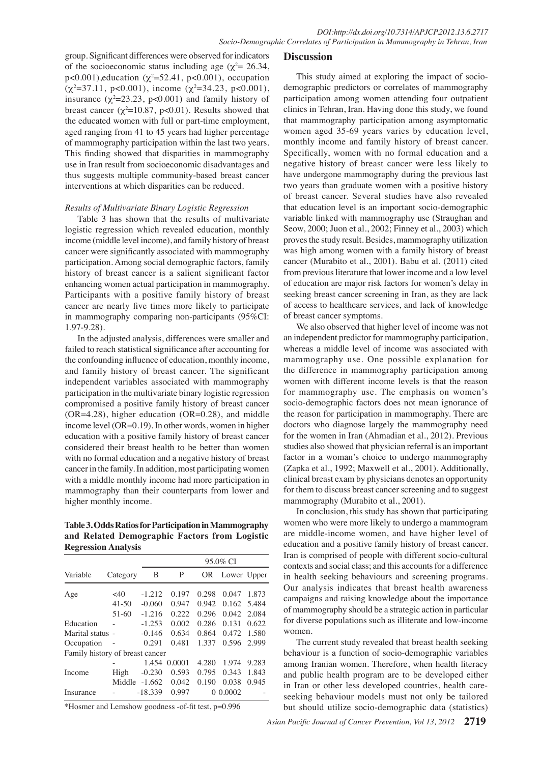group. Significant differences were observed for indicators of the socioeconomic status including age ( $\chi^2$  = 26.34,  $p<0.001$ ), education  $(\chi^2=52.41, p<0.001)$ , occupation  $(\chi^2 = 37.11, \text{ p} < 0.001), \text{ income } (\chi^2 = 34.23, \text{ p} < 0.001),$ insurance  $(\chi^2=23.23, p<0.001)$  and family history of breast cancer ( $\chi^2$ =10.87, p<0.01). Results showed that the educated women with full or part-time employment, aged ranging from 41 to 45 years had higher percentage of mammography participation within the last two years. This finding showed that disparities in mammography thus suggests multiple community-based breast cancer interventions at which disparities can be reduced.

#### *Results of Multivariate Binary Logistic Regression*

Table 3 has shown that the results of multivariate logistic regression which revealed education, monthly cancer were significantly associated with mammography participation. Among social demographic factors, family enhancing women actual participation in mammography. Participants with a positive family history of breast cancer are nearly five times more likely to participate in mammography comparing non-participants (95%CI: 1.97-9.28).

In the adjusted analysis, differences were smaller and failed to reach statistical significance after accounting for the confounding influence of education, monthly income, and family history of breast cancer. The significant independent variables associated with mammography participation in the multivariate binary logistic regression compromised a positive family history of breast cancer (OR=4.28), higher education (OR=0.28), and middle income level (OR=0.19). In other words, women in higher education with a positive family history of breast cancer considered their breast health to be better than women with no formal education and a negative history of breast cancer in the family. In addition, most participating women with a middle monthly income had more participation in mammography than their counterparts from lower and higher monthly income.

**Table 3. Odds Ratios for Participation in Mammography and Related Demographic Factors from Logistic Regression Analysis**

|                                 |           |           | 95.0% CI |       |             |       |  |  |
|---------------------------------|-----------|-----------|----------|-------|-------------|-------|--|--|
| Variable                        | Category  | В         | P        | OR    | Lower Upper |       |  |  |
| Age                             | $<$ 40    | $-1.212$  | 0.197    | 0.298 | 0.047       | 1.873 |  |  |
|                                 | $41 - 50$ | $-0.060$  | 0.947    | 0.942 | 0.162       | 5.484 |  |  |
|                                 | 51-60     | $-1.216$  | 0.222    | 0.296 | 0.042       | 2.084 |  |  |
| Education                       |           | $-1.253$  | 0.002    | 0.286 | 0.131       | 0.622 |  |  |
| Marital status -                |           | $-0.146$  | 0.634    | 0.864 | 0.472       | 1.580 |  |  |
| Occupation                      |           | 0.291     | 0.481    | 1.337 | 0.596       | 2.999 |  |  |
| Family history of breast cancer |           |           |          |       |             |       |  |  |
|                                 |           | 1.454     | 0.0001   | 4.280 | 1.974       | 9.283 |  |  |
| Income                          | High      | $-0.230$  | 0.593    | 0.795 | 0.343       | 1.843 |  |  |
|                                 | Middle    | $-1.662$  | 0.042    | 0.190 | 0.038       | 0.945 |  |  |
| Insurance                       |           | $-18.339$ | 0.997    | 0     | 0.0002      |       |  |  |

\*Hosmer and Lemshow goodness -of-fit test, p=0.996

### **Discussion**

use in Iran result from socioeconomic disadvantages and 00. Onegative history of breast<sub>r</sub> cancer were less likely to 00.0 income (middle level income), and family history of breast 50. Proves the study result. Beside 54 mammography utilization 50.0 history of breast cancer is a salient significant factor 25.6 from previous literature that lower income and a low level 25.0 Of breast cancer symptoms. 75.0<sup>f</sup> breast cancer. Several studies have also revealed 75.80.0 None have undergone mammography during the previous last<br>two your than and with maximum history variable linked with mammography use (Straughan and variable linked with mammography use (Straughan and **25.0 25.0 25.0 25.0 25.0 25.0 25.0 25.0 25.0 25.0 25.0 25.0 25.0 25.0 25.0 25.0 25.0 25.0 25.0 25.0 25.0 25.0 25.0 25.0 25.0 25.0 25.0 25.0 25.0 25.0 25.0 25.0 31.3** of education are magno risk factors for women's delay in  $\theta$ This study aimed at exploring the impact of sociodemographic predictors or correlates of mammography participation among women attending four outpatient clinics in Tehran, Iran. Having done this study, we found that mammography participation among asymptomatic women aged 35-69 years varies by education level, monthly income and family history of breast cancer. Specifically, women with no formal education and a two years than graduate women with a positive history that education level is an important socio-demographic Seow, 2000; Juon et al., 2002; Finney et al., 2003) which was high among women with a family history of breast cancer (Murabito et al., 2001). Babu et al. (2011) cited seeking breast cancer screening in of access to healthcare services, and lack of knowledge

**12.8**

Newly diagnosed without treatment

**51.1 46.8 56.3**

**38.0 31.3**

**20.3 6.3 10.1**

Newly diagnosed with treatment Newly diagnosed with treatment Persistence or recul<del>is</del>ence Remission We alse observed that higher level of **income** was not an independent predictor for manimography participation, whereas a middle level of income was  $\frac{1}{2}$  sociated with mammography use. One possible explanation for the difference in  $m\bar{a}$  mmography participation among women with different income levels is that the reason for mammography suse. The emphasis on women's socio-demographic factors does not mean ignorance of the reason for particulation in mammography. There are doctors who diagnose largely the mammography need for the women in Iran (Ahmadian et al., 2012). Previous studies also showed that physician referral is an important factor in a woman's choice to undergo mammography (Zapka et al., 1992; Maxwell et al., 2001). Additionally, clinical breast exam by physicians denotes an opportunity for them to discuss breast cancer screening and to suggest mammography (Murabito et al., 2001).

In conclusion, this study has shown that participating women who were more likely to undergo a mammogram are middle-income women, and have higher level of education and a positive family history of breast cancer. Iran is comprised of people with different socio-cultural contexts and social class; and this accounts for a difference in health seeking behaviours and screening programs. Our analysis indicates that breast health awareness campaigns and raising knowledge about the importance of mammography should be a strategic action in particular for diverse populations such as illiterate and low-income women.

The current study revealed that breast health seeking behaviour is a function of socio-demographic variables among Iranian women. Therefore, when health literacy and public health program are to be developed either in Iran or other less developed countries, health careseeking behaviour models must not only be tailored but should utilize socio-demographic data (statistics)